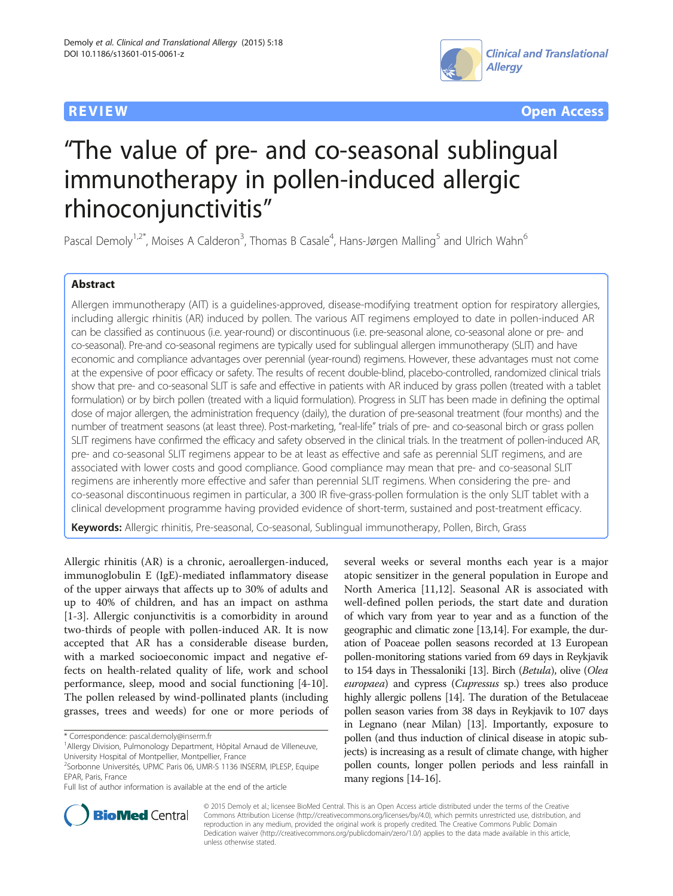

**REVIEW CONTROL** CONTROL CONTROL CONTROL CONTROL CONTROL CONTROL CONTROL CONTROL CONTROL CONTROL CONTROL CONTROL CONTROL CONTROL CONTROL CONTROL CONTROL CONTROL CONTROL CONTROL CONTROL CONTROL CONTROL CONTROL CONTROL CONTR

# "The value of pre- and co-seasonal sublingual immunotherapy in pollen-induced allergic rhinoconjunctivitis"

Pascal Demoly<sup>1,2\*</sup>, Moises A Calderon<sup>3</sup>, Thomas B Casale<sup>4</sup>, Hans-Jørgen Malling<sup>5</sup> and Ulrich Wahn<sup>6</sup>

# Abstract

Allergen immunotherapy (AIT) is a guidelines-approved, disease-modifying treatment option for respiratory allergies, including allergic rhinitis (AR) induced by pollen. The various AIT regimens employed to date in pollen-induced AR can be classified as continuous (i.e. year-round) or discontinuous (i.e. pre-seasonal alone, co-seasonal alone or pre- and co-seasonal). Pre-and co-seasonal regimens are typically used for sublingual allergen immunotherapy (SLIT) and have economic and compliance advantages over perennial (year-round) regimens. However, these advantages must not come at the expensive of poor efficacy or safety. The results of recent double-blind, placebo-controlled, randomized clinical trials show that pre- and co-seasonal SLIT is safe and effective in patients with AR induced by grass pollen (treated with a tablet formulation) or by birch pollen (treated with a liquid formulation). Progress in SLIT has been made in defining the optimal dose of major allergen, the administration frequency (daily), the duration of pre-seasonal treatment (four months) and the number of treatment seasons (at least three). Post-marketing, "real-life" trials of pre- and co-seasonal birch or grass pollen SLIT regimens have confirmed the efficacy and safety observed in the clinical trials. In the treatment of pollen-induced AR, pre- and co-seasonal SLIT regimens appear to be at least as effective and safe as perennial SLIT regimens, and are associated with lower costs and good compliance. Good compliance may mean that pre- and co-seasonal SLIT regimens are inherently more effective and safer than perennial SLIT regimens. When considering the pre- and co-seasonal discontinuous regimen in particular, a 300 IR five-grass-pollen formulation is the only SLIT tablet with a clinical development programme having provided evidence of short-term, sustained and post-treatment efficacy.

Keywords: Allergic rhinitis, Pre-seasonal, Co-seasonal, Sublingual immunotherapy, Pollen, Birch, Grass

Allergic rhinitis (AR) is a chronic, aeroallergen-induced, immunoglobulin E (IgE)-mediated inflammatory disease of the upper airways that affects up to 30% of adults and up to 40% of children, and has an impact on asthma [[1-3](#page-7-0)]. Allergic conjunctivitis is a comorbidity in around two-thirds of people with pollen-induced AR. It is now accepted that AR has a considerable disease burden, with a marked socioeconomic impact and negative effects on health-related quality of life, work and school performance, sleep, mood and social functioning [[4-10](#page-7-0)]. The pollen released by wind-pollinated plants (including grasses, trees and weeds) for one or more periods of several weeks or several months each year is a major atopic sensitizer in the general population in Europe and North America [[11,12\]](#page-7-0). Seasonal AR is associated with well-defined pollen periods, the start date and duration of which vary from year to year and as a function of the geographic and climatic zone [[13,14\]](#page-7-0). For example, the duration of Poaceae pollen seasons recorded at 13 European pollen-monitoring stations varied from 69 days in Reykjavik to 154 days in Thessaloniki [\[13\]](#page-7-0). Birch (Betula), olive (Olea europaea) and cypress (Cupressus sp.) trees also produce highly allergic pollens [\[14](#page-7-0)]. The duration of the Betulaceae pollen season varies from 38 days in Reykjavik to 107 days in Legnano (near Milan) [\[13\]](#page-7-0). Importantly, exposure to pollen (and thus induction of clinical disease in atopic subjects) is increasing as a result of climate change, with higher pollen counts, longer pollen periods and less rainfall in many regions [\[14](#page-7-0)-[16](#page-7-0)].



© 2015 Demoly et al.; licensee BioMed Central. This is an Open Access article distributed under the terms of the Creative Commons Attribution License [\(http://creativecommons.org/licenses/by/4.0\)](http://creativecommons.org/licenses/by/4.0), which permits unrestricted use, distribution, and reproduction in any medium, provided the original work is properly credited. The Creative Commons Public Domain Dedication waiver [\(http://creativecommons.org/publicdomain/zero/1.0/](http://creativecommons.org/publicdomain/zero/1.0/)) applies to the data made available in this article, unless otherwise stated.

<sup>\*</sup> Correspondence: [pascal.demoly@inserm.fr](mailto:pascal.demoly@inserm.fr) <sup>1</sup>

<sup>&</sup>lt;sup>1</sup> Allergy Division, Pulmonology Department, Hôpital Arnaud de Villeneuve, University Hospital of Montpellier, Montpellier, France

<sup>&</sup>lt;sup>2</sup>Sorbonne Universités, UPMC Paris 06, UMR-S 1136 INSERM, IPLESP, Equipe EPAR, Paris, France

Full list of author information is available at the end of the article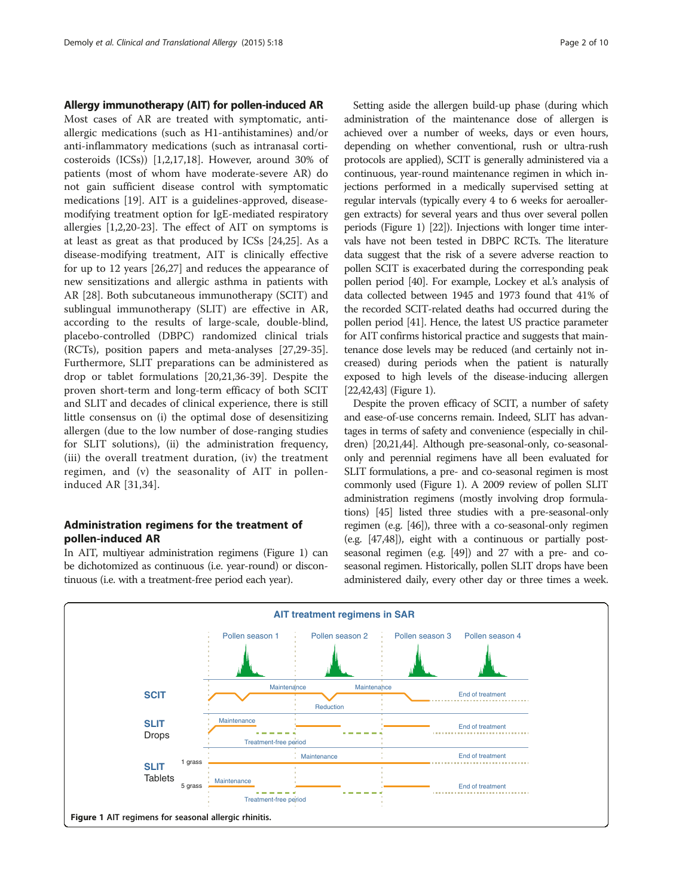## <span id="page-1-0"></span>Allergy immunotherapy (AIT) for pollen-induced AR

Most cases of AR are treated with symptomatic, antiallergic medications (such as H1-antihistamines) and/or anti-inflammatory medications (such as intranasal corticosteroids (ICSs)) [[1,2,17,18\]](#page-7-0). However, around 30% of patients (most of whom have moderate-severe AR) do not gain sufficient disease control with symptomatic medications [[19\]](#page-7-0). AIT is a guidelines-approved, diseasemodifying treatment option for IgE-mediated respiratory allergies [\[1,2,20-23](#page-7-0)]. The effect of AIT on symptoms is at least as great as that produced by ICSs [\[24,25](#page-7-0)]. As a disease-modifying treatment, AIT is clinically effective for up to 12 years [[26](#page-7-0),[27](#page-7-0)] and reduces the appearance of new sensitizations and allergic asthma in patients with AR [\[28\]](#page-7-0). Both subcutaneous immunotherapy (SCIT) and sublingual immunotherapy (SLIT) are effective in AR, according to the results of large-scale, double-blind, placebo-controlled (DBPC) randomized clinical trials (RCTs), position papers and meta-analyses [\[27,](#page-7-0)[29-35](#page-8-0)]. Furthermore, SLIT preparations can be administered as drop or tablet formulations [[20,21,](#page-7-0)[36-39](#page-8-0)]. Despite the proven short-term and long-term efficacy of both SCIT and SLIT and decades of clinical experience, there is still little consensus on (i) the optimal dose of desensitizing allergen (due to the low number of dose-ranging studies for SLIT solutions), (ii) the administration frequency, (iii) the overall treatment duration, (iv) the treatment regimen, and (v) the seasonality of AIT in polleninduced AR [[31](#page-8-0),[34\]](#page-8-0).

# Administration regimens for the treatment of pollen-induced AR

In AIT, multiyear administration regimens (Figure 1) can be dichotomized as continuous (i.e. year-round) or discontinuous (i.e. with a treatment-free period each year).

Setting aside the allergen build-up phase (during which administration of the maintenance dose of allergen is achieved over a number of weeks, days or even hours, depending on whether conventional, rush or ultra-rush protocols are applied), SCIT is generally administered via a continuous, year-round maintenance regimen in which injections performed in a medically supervised setting at regular intervals (typically every 4 to 6 weeks for aeroallergen extracts) for several years and thus over several pollen periods (Figure 1) [\[22](#page-7-0)]). Injections with longer time intervals have not been tested in DBPC RCTs. The literature data suggest that the risk of a severe adverse reaction to pollen SCIT is exacerbated during the corresponding peak pollen period [\[40\]](#page-8-0). For example, Lockey et al.'s analysis of data collected between 1945 and 1973 found that 41% of the recorded SCIT-related deaths had occurred during the pollen period [\[41\]](#page-8-0). Hence, the latest US practice parameter for AIT confirms historical practice and suggests that maintenance dose levels may be reduced (and certainly not increased) during periods when the patient is naturally exposed to high levels of the disease-inducing allergen [[22](#page-7-0)[,42,43\]](#page-8-0) (Figure 1).

Despite the proven efficacy of SCIT, a number of safety and ease-of-use concerns remain. Indeed, SLIT has advantages in terms of safety and convenience (especially in children) [\[20,21,](#page-7-0)[44](#page-8-0)]. Although pre-seasonal-only, co-seasonalonly and perennial regimens have all been evaluated for SLIT formulations, a pre- and co-seasonal regimen is most commonly used (Figure 1). A 2009 review of pollen SLIT administration regimens (mostly involving drop formulations) [\[45\]](#page-8-0) listed three studies with a pre-seasonal-only regimen (e.g. [\[46\]](#page-8-0)), three with a co-seasonal-only regimen (e.g. [[47,48\]](#page-8-0)), eight with a continuous or partially postseasonal regimen (e.g. [\[49](#page-8-0)]) and 27 with a pre- and coseasonal regimen. Historically, pollen SLIT drops have been administered daily, every other day or three times a week.

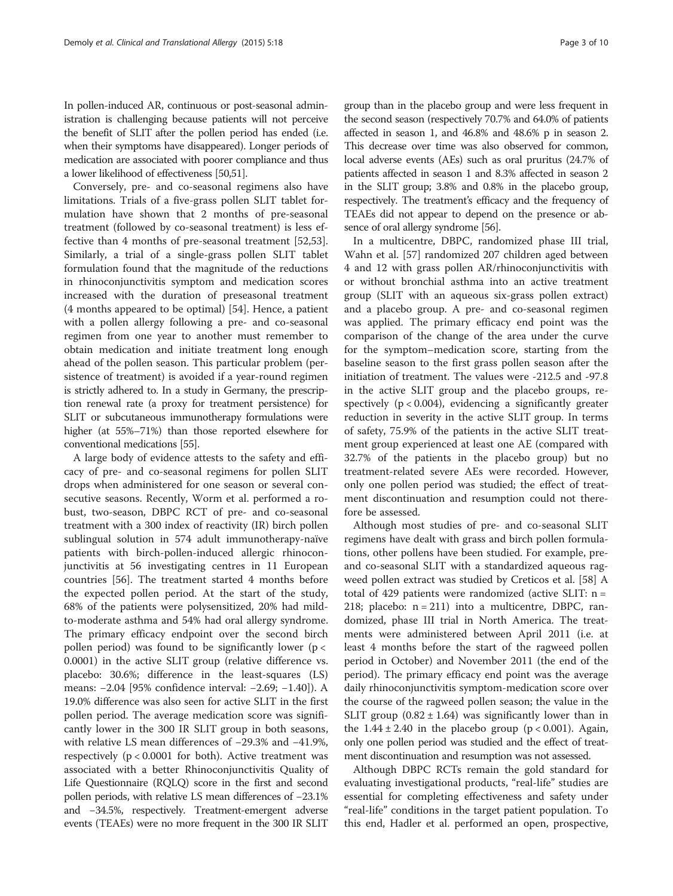In pollen-induced AR, continuous or post-seasonal administration is challenging because patients will not perceive the benefit of SLIT after the pollen period has ended (i.e. when their symptoms have disappeared). Longer periods of medication are associated with poorer compliance and thus a lower likelihood of effectiveness [\[50,51](#page-8-0)].

Conversely, pre- and co-seasonal regimens also have limitations. Trials of a five-grass pollen SLIT tablet formulation have shown that 2 months of pre-seasonal treatment (followed by co-seasonal treatment) is less effective than 4 months of pre-seasonal treatment [\[52,53](#page-8-0)]. Similarly, a trial of a single-grass pollen SLIT tablet formulation found that the magnitude of the reductions in rhinoconjunctivitis symptom and medication scores increased with the duration of preseasonal treatment (4 months appeared to be optimal) [[54](#page-8-0)]. Hence, a patient with a pollen allergy following a pre- and co-seasonal regimen from one year to another must remember to obtain medication and initiate treatment long enough ahead of the pollen season. This particular problem (persistence of treatment) is avoided if a year-round regimen is strictly adhered to. In a study in Germany, the prescription renewal rate (a proxy for treatment persistence) for SLIT or subcutaneous immunotherapy formulations were higher (at 55%–71%) than those reported elsewhere for conventional medications [\[55\]](#page-8-0).

A large body of evidence attests to the safety and efficacy of pre- and co-seasonal regimens for pollen SLIT drops when administered for one season or several consecutive seasons. Recently, Worm et al. performed a robust, two-season, DBPC RCT of pre- and co-seasonal treatment with a 300 index of reactivity (IR) birch pollen sublingual solution in 574 adult immunotherapy-naïve patients with birch-pollen-induced allergic rhinoconjunctivitis at 56 investigating centres in 11 European countries [\[56](#page-8-0)]. The treatment started 4 months before the expected pollen period. At the start of the study, 68% of the patients were polysensitized, 20% had mildto-moderate asthma and 54% had oral allergy syndrome. The primary efficacy endpoint over the second birch pollen period) was found to be significantly lower ( $p <$ 0.0001) in the active SLIT group (relative difference vs. placebo: 30.6%; difference in the least-squares (LS) means: −2.04 [95% confidence interval: −2.69; −1.40]). A 19.0% difference was also seen for active SLIT in the first pollen period. The average medication score was significantly lower in the 300 IR SLIT group in both seasons, with relative LS mean differences of −29.3% and −41.9%, respectively  $(p < 0.0001$  for both). Active treatment was associated with a better Rhinoconjunctivitis Quality of Life Questionnaire (RQLQ) score in the first and second pollen periods, with relative LS mean differences of −23.1% and −34.5%, respectively. Treatment-emergent adverse events (TEAEs) were no more frequent in the 300 IR SLIT

group than in the placebo group and were less frequent in the second season (respectively 70.7% and 64.0% of patients affected in season 1, and 46.8% and 48.6% p in season 2. This decrease over time was also observed for common, local adverse events (AEs) such as oral pruritus (24.7% of patients affected in season 1 and 8.3% affected in season 2 in the SLIT group; 3.8% and 0.8% in the placebo group, respectively. The treatment's efficacy and the frequency of TEAEs did not appear to depend on the presence or absence of oral allergy syndrome [\[56](#page-8-0)].

In a multicentre, DBPC, randomized phase III trial, Wahn et al. [[57](#page-8-0)] randomized 207 children aged between 4 and 12 with grass pollen AR/rhinoconjunctivitis with or without bronchial asthma into an active treatment group (SLIT with an aqueous six-grass pollen extract) and a placebo group. A pre- and co-seasonal regimen was applied. The primary efficacy end point was the comparison of the change of the area under the curve for the symptom–medication score, starting from the baseline season to the first grass pollen season after the initiation of treatment. The values were -212.5 and -97.8 in the active SLIT group and the placebo groups, respectively  $(p < 0.004)$ , evidencing a significantly greater reduction in severity in the active SLIT group. In terms of safety, 75.9% of the patients in the active SLIT treatment group experienced at least one AE (compared with 32.7% of the patients in the placebo group) but no treatment-related severe AEs were recorded. However, only one pollen period was studied; the effect of treatment discontinuation and resumption could not therefore be assessed.

Although most studies of pre- and co-seasonal SLIT regimens have dealt with grass and birch pollen formulations, other pollens have been studied. For example, preand co-seasonal SLIT with a standardized aqueous ragweed pollen extract was studied by Creticos et al. [\[58](#page-8-0)] A total of 429 patients were randomized (active SLIT:  $n =$ 218; placebo:  $n = 211$ ) into a multicentre, DBPC, randomized, phase III trial in North America. The treatments were administered between April 2011 (i.e. at least 4 months before the start of the ragweed pollen period in October) and November 2011 (the end of the period). The primary efficacy end point was the average daily rhinoconjunctivitis symptom-medication score over the course of the ragweed pollen season; the value in the SLIT group  $(0.82 \pm 1.64)$  was significantly lower than in the  $1.44 \pm 2.40$  in the placebo group (p < 0.001). Again, only one pollen period was studied and the effect of treatment discontinuation and resumption was not assessed.

Although DBPC RCTs remain the gold standard for evaluating investigational products, "real-life" studies are essential for completing effectiveness and safety under "real-life" conditions in the target patient population. To this end, Hadler et al. performed an open, prospective,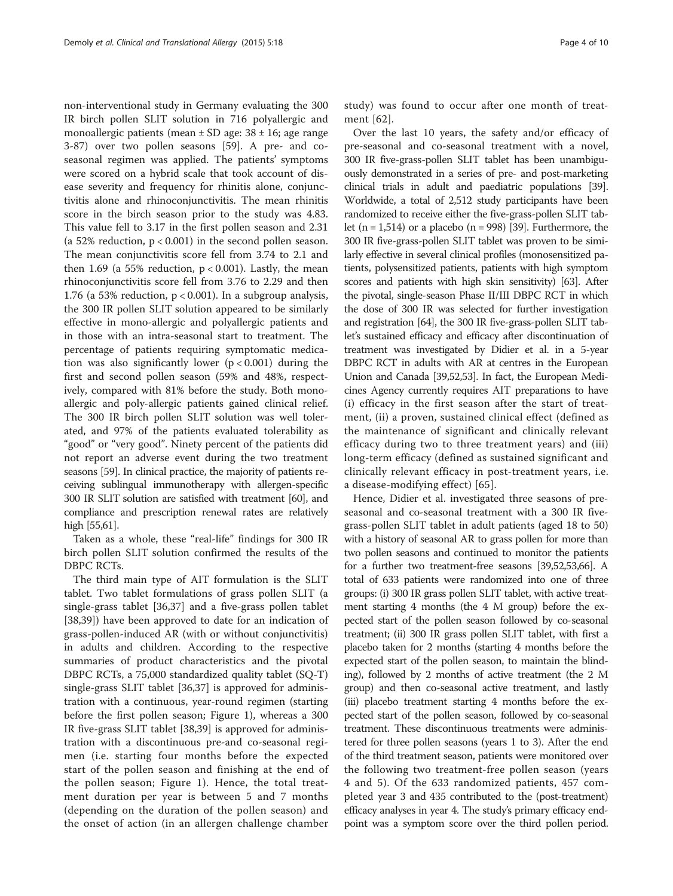non-interventional study in Germany evaluating the 300 IR birch pollen SLIT solution in 716 polyallergic and monoallergic patients (mean  $\pm$  SD age: 38  $\pm$  16; age range 3-87) over two pollen seasons [[59\]](#page-8-0). A pre- and coseasonal regimen was applied. The patients' symptoms were scored on a hybrid scale that took account of disease severity and frequency for rhinitis alone, conjunctivitis alone and rhinoconjunctivitis. The mean rhinitis score in the birch season prior to the study was 4.83. This value fell to 3.17 in the first pollen season and 2.31 (a 52% reduction,  $p < 0.001$ ) in the second pollen season. The mean conjunctivitis score fell from 3.74 to 2.1 and then 1.69 (a 55% reduction,  $p < 0.001$ ). Lastly, the mean rhinoconjunctivitis score fell from 3.76 to 2.29 and then 1.76 (a 53% reduction,  $p < 0.001$ ). In a subgroup analysis, the 300 IR pollen SLIT solution appeared to be similarly effective in mono-allergic and polyallergic patients and in those with an intra-seasonal start to treatment. The percentage of patients requiring symptomatic medication was also significantly lower  $(p < 0.001)$  during the first and second pollen season (59% and 48%, respectively, compared with 81% before the study. Both monoallergic and poly-allergic patients gained clinical relief. The 300 IR birch pollen SLIT solution was well tolerated, and 97% of the patients evaluated tolerability as "good" or "very good". Ninety percent of the patients did not report an adverse event during the two treatment seasons [\[59](#page-8-0)]. In clinical practice, the majority of patients receiving sublingual immunotherapy with allergen-specific 300 IR SLIT solution are satisfied with treatment [\[60\]](#page-8-0), and compliance and prescription renewal rates are relatively high [\[55,61](#page-8-0)].

Taken as a whole, these "real-life" findings for 300 IR birch pollen SLIT solution confirmed the results of the DBPC RCTs.

The third main type of AIT formulation is the SLIT tablet. Two tablet formulations of grass pollen SLIT (a single-grass tablet [[36](#page-8-0),[37](#page-8-0)] and a five-grass pollen tablet [[38,39\]](#page-8-0)) have been approved to date for an indication of grass-pollen-induced AR (with or without conjunctivitis) in adults and children. According to the respective summaries of product characteristics and the pivotal DBPC RCTs, a 75,000 standardized quality tablet (SQ-T) single-grass SLIT tablet [[36](#page-8-0),[37](#page-8-0)] is approved for administration with a continuous, year-round regimen (starting before the first pollen season; Figure [1\)](#page-1-0), whereas a 300 IR five-grass SLIT tablet [\[38,39](#page-8-0)] is approved for administration with a discontinuous pre-and co-seasonal regimen (i.e. starting four months before the expected start of the pollen season and finishing at the end of the pollen season; Figure [1](#page-1-0)). Hence, the total treatment duration per year is between 5 and 7 months (depending on the duration of the pollen season) and the onset of action (in an allergen challenge chamber

study) was found to occur after one month of treatment [[62](#page-8-0)].

Over the last 10 years, the safety and/or efficacy of pre-seasonal and co-seasonal treatment with a novel, 300 IR five-grass-pollen SLIT tablet has been unambiguously demonstrated in a series of pre- and post-marketing clinical trials in adult and paediatric populations [\[39](#page-8-0)]. Worldwide, a total of 2,512 study participants have been randomized to receive either the five-grass-pollen SLIT tab-let (n = 1,514) or a placebo (n = 998) [\[39](#page-8-0)]. Furthermore, the 300 IR five-grass-pollen SLIT tablet was proven to be similarly effective in several clinical profiles (monosensitized patients, polysensitized patients, patients with high symptom scores and patients with high skin sensitivity) [\[63\]](#page-8-0). After the pivotal, single-season Phase II/III DBPC RCT in which the dose of 300 IR was selected for further investigation and registration [\[64\]](#page-8-0), the 300 IR five-grass-pollen SLIT tablet's sustained efficacy and efficacy after discontinuation of treatment was investigated by Didier et al. in a 5-year DBPC RCT in adults with AR at centres in the European Union and Canada [\[39,52,53\]](#page-8-0). In fact, the European Medicines Agency currently requires AIT preparations to have (i) efficacy in the first season after the start of treatment, (ii) a proven, sustained clinical effect (defined as the maintenance of significant and clinically relevant efficacy during two to three treatment years) and (iii) long-term efficacy (defined as sustained significant and clinically relevant efficacy in post-treatment years, i.e. a disease-modifying effect) [[65](#page-8-0)].

Hence, Didier et al. investigated three seasons of preseasonal and co-seasonal treatment with a 300 IR fivegrass-pollen SLIT tablet in adult patients (aged 18 to 50) with a history of seasonal AR to grass pollen for more than two pollen seasons and continued to monitor the patients for a further two treatment-free seasons [\[39,52,53,66](#page-8-0)]. A total of 633 patients were randomized into one of three groups: (i) 300 IR grass pollen SLIT tablet, with active treatment starting 4 months (the 4 M group) before the expected start of the pollen season followed by co-seasonal treatment; (ii) 300 IR grass pollen SLIT tablet, with first a placebo taken for 2 months (starting 4 months before the expected start of the pollen season, to maintain the blinding), followed by 2 months of active treatment (the 2 M group) and then co-seasonal active treatment, and lastly (iii) placebo treatment starting 4 months before the expected start of the pollen season, followed by co-seasonal treatment. These discontinuous treatments were administered for three pollen seasons (years 1 to 3). After the end of the third treatment season, patients were monitored over the following two treatment-free pollen season (years 4 and 5). Of the 633 randomized patients, 457 completed year 3 and 435 contributed to the (post-treatment) efficacy analyses in year 4. The study's primary efficacy endpoint was a symptom score over the third pollen period.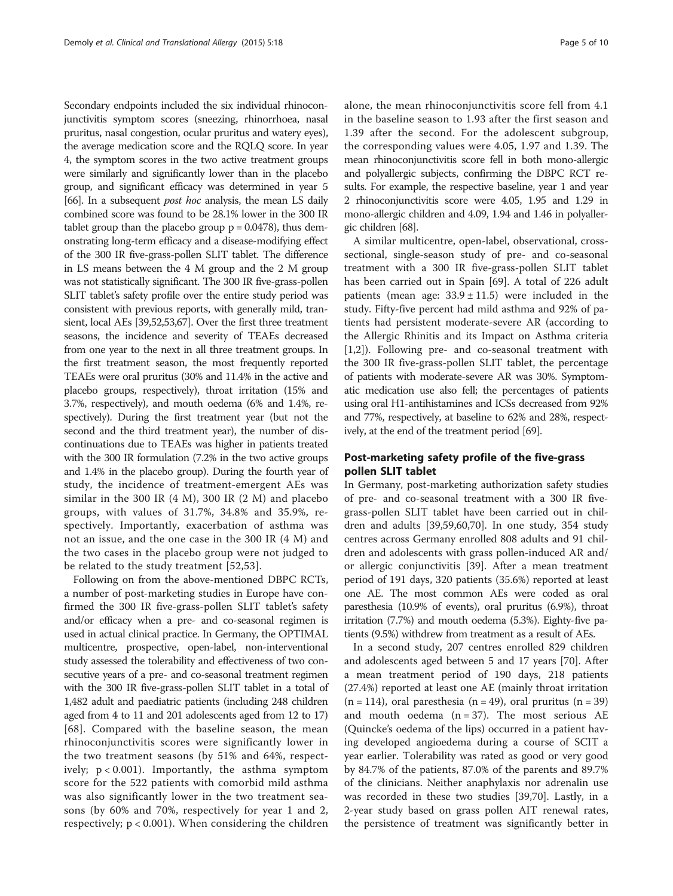Secondary endpoints included the six individual rhinoconjunctivitis symptom scores (sneezing, rhinorrhoea, nasal pruritus, nasal congestion, ocular pruritus and watery eyes), the average medication score and the RQLQ score. In year 4, the symptom scores in the two active treatment groups were similarly and significantly lower than in the placebo group, and significant efficacy was determined in year 5 [[66](#page-8-0)]. In a subsequent *post hoc* analysis, the mean LS daily combined score was found to be 28.1% lower in the 300 IR tablet group than the placebo group  $p = 0.0478$ ), thus demonstrating long-term efficacy and a disease-modifying effect of the 300 IR five-grass-pollen SLIT tablet. The difference in LS means between the 4 M group and the 2 M group was not statistically significant. The 300 IR five-grass-pollen SLIT tablet's safety profile over the entire study period was consistent with previous reports, with generally mild, transient, local AEs [\[39,52,53,67](#page-8-0)]. Over the first three treatment seasons, the incidence and severity of TEAEs decreased from one year to the next in all three treatment groups. In the first treatment season, the most frequently reported TEAEs were oral pruritus (30% and 11.4% in the active and placebo groups, respectively), throat irritation (15% and 3.7%, respectively), and mouth oedema (6% and 1.4%, respectively). During the first treatment year (but not the second and the third treatment year), the number of discontinuations due to TEAEs was higher in patients treated with the 300 IR formulation (7.2% in the two active groups and 1.4% in the placebo group). During the fourth year of study, the incidence of treatment-emergent AEs was similar in the 300 IR  $(4 \text{ M})$ , 300 IR  $(2 \text{ M})$  and placebo groups, with values of 31.7%, 34.8% and 35.9%, respectively. Importantly, exacerbation of asthma was not an issue, and the one case in the 300 IR (4 M) and the two cases in the placebo group were not judged to be related to the study treatment [\[52,53](#page-8-0)].

Following on from the above-mentioned DBPC RCTs, a number of post-marketing studies in Europe have confirmed the 300 IR five-grass-pollen SLIT tablet's safety and/or efficacy when a pre- and co-seasonal regimen is used in actual clinical practice. In Germany, the OPTIMAL multicentre, prospective, open-label, non-interventional study assessed the tolerability and effectiveness of two consecutive years of a pre- and co-seasonal treatment regimen with the 300 IR five-grass-pollen SLIT tablet in a total of 1,482 adult and paediatric patients (including 248 children aged from 4 to 11 and 201 adolescents aged from 12 to 17) [[68](#page-8-0)]. Compared with the baseline season, the mean rhinoconjunctivitis scores were significantly lower in the two treatment seasons (by 51% and 64%, respectively;  $p < 0.001$ ). Importantly, the asthma symptom score for the 522 patients with comorbid mild asthma was also significantly lower in the two treatment seasons (by 60% and 70%, respectively for year 1 and 2, respectively; p < 0.001). When considering the children

alone, the mean rhinoconjunctivitis score fell from 4.1 in the baseline season to 1.93 after the first season and 1.39 after the second. For the adolescent subgroup, the corresponding values were 4.05, 1.97 and 1.39. The mean rhinoconjunctivitis score fell in both mono-allergic and polyallergic subjects, confirming the DBPC RCT results. For example, the respective baseline, year 1 and year 2 rhinoconjunctivitis score were 4.05, 1.95 and 1.29 in mono-allergic children and 4.09, 1.94 and 1.46 in polyallergic children [\[68\]](#page-8-0).

A similar multicentre, open-label, observational, crosssectional, single-season study of pre- and co-seasonal treatment with a 300 IR five-grass-pollen SLIT tablet has been carried out in Spain [[69\]](#page-8-0). A total of 226 adult patients (mean age:  $33.9 \pm 11.5$ ) were included in the study. Fifty-five percent had mild asthma and 92% of patients had persistent moderate-severe AR (according to the Allergic Rhinitis and its Impact on Asthma criteria [[1,2\]](#page-7-0)). Following pre- and co-seasonal treatment with the 300 IR five-grass-pollen SLIT tablet, the percentage of patients with moderate-severe AR was 30%. Symptomatic medication use also fell; the percentages of patients using oral H1-antihistamines and ICSs decreased from 92% and 77%, respectively, at baseline to 62% and 28%, respectively, at the end of the treatment period [\[69\]](#page-8-0).

# Post-marketing safety profile of the five-grass pollen SLIT tablet

In Germany, post-marketing authorization safety studies of pre- and co-seasonal treatment with a 300 IR fivegrass-pollen SLIT tablet have been carried out in children and adults [\[39,59,60,](#page-8-0)[70\]](#page-9-0). In one study, 354 study centres across Germany enrolled 808 adults and 91 children and adolescents with grass pollen-induced AR and/ or allergic conjunctivitis [[39](#page-8-0)]. After a mean treatment period of 191 days, 320 patients (35.6%) reported at least one AE. The most common AEs were coded as oral paresthesia (10.9% of events), oral pruritus (6.9%), throat irritation (7.7%) and mouth oedema (5.3%). Eighty-five patients (9.5%) withdrew from treatment as a result of AEs.

In a second study, 207 centres enrolled 829 children and adolescents aged between 5 and 17 years [\[70\]](#page-9-0). After a mean treatment period of 190 days, 218 patients (27.4%) reported at least one AE (mainly throat irritation  $(n = 114)$ , oral paresthesia  $(n = 49)$ , oral pruritus  $(n = 39)$ and mouth oedema  $(n = 37)$ . The most serious AE (Quincke's oedema of the lips) occurred in a patient having developed angioedema during a course of SCIT a year earlier. Tolerability was rated as good or very good by 84.7% of the patients, 87.0% of the parents and 89.7% of the clinicians. Neither anaphylaxis nor adrenalin use was recorded in these two studies [\[39,](#page-8-0)[70\]](#page-9-0). Lastly, in a 2-year study based on grass pollen AIT renewal rates, the persistence of treatment was significantly better in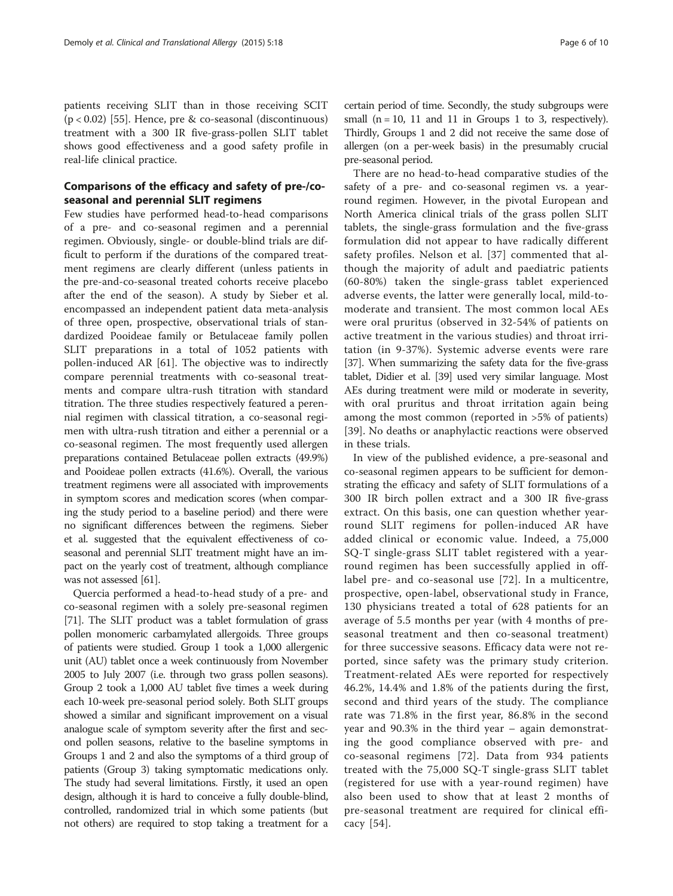patients receiving SLIT than in those receiving SCIT (p < 0.02) [[55](#page-8-0)]. Hence, pre & co-seasonal (discontinuous) treatment with a 300 IR five-grass-pollen SLIT tablet shows good effectiveness and a good safety profile in real-life clinical practice.

# Comparisons of the efficacy and safety of pre-/coseasonal and perennial SLIT regimens

Few studies have performed head-to-head comparisons of a pre- and co-seasonal regimen and a perennial regimen. Obviously, single- or double-blind trials are difficult to perform if the durations of the compared treatment regimens are clearly different (unless patients in the pre-and-co-seasonal treated cohorts receive placebo after the end of the season). A study by Sieber et al. encompassed an independent patient data meta-analysis of three open, prospective, observational trials of standardized Pooideae family or Betulaceae family pollen SLIT preparations in a total of 1052 patients with pollen-induced AR [[61\]](#page-8-0). The objective was to indirectly compare perennial treatments with co-seasonal treatments and compare ultra-rush titration with standard titration. The three studies respectively featured a perennial regimen with classical titration, a co-seasonal regimen with ultra-rush titration and either a perennial or a co-seasonal regimen. The most frequently used allergen preparations contained Betulaceae pollen extracts (49.9%) and Pooideae pollen extracts (41.6%). Overall, the various treatment regimens were all associated with improvements in symptom scores and medication scores (when comparing the study period to a baseline period) and there were no significant differences between the regimens. Sieber et al. suggested that the equivalent effectiveness of coseasonal and perennial SLIT treatment might have an impact on the yearly cost of treatment, although compliance was not assessed [\[61\]](#page-8-0).

Quercia performed a head-to-head study of a pre- and co-seasonal regimen with a solely pre-seasonal regimen [[71](#page-9-0)]. The SLIT product was a tablet formulation of grass pollen monomeric carbamylated allergoids. Three groups of patients were studied. Group 1 took a 1,000 allergenic unit (AU) tablet once a week continuously from November 2005 to July 2007 (i.e. through two grass pollen seasons). Group 2 took a 1,000 AU tablet five times a week during each 10-week pre-seasonal period solely. Both SLIT groups showed a similar and significant improvement on a visual analogue scale of symptom severity after the first and second pollen seasons, relative to the baseline symptoms in Groups 1 and 2 and also the symptoms of a third group of patients (Group 3) taking symptomatic medications only. The study had several limitations. Firstly, it used an open design, although it is hard to conceive a fully double-blind, controlled, randomized trial in which some patients (but not others) are required to stop taking a treatment for a certain period of time. Secondly, the study subgroups were small  $(n = 10, 11$  and  $11$  in Groups 1 to 3, respectively). Thirdly, Groups 1 and 2 did not receive the same dose of allergen (on a per-week basis) in the presumably crucial pre-seasonal period.

There are no head-to-head comparative studies of the safety of a pre- and co-seasonal regimen vs. a yearround regimen. However, in the pivotal European and North America clinical trials of the grass pollen SLIT tablets, the single-grass formulation and the five-grass formulation did not appear to have radically different safety profiles. Nelson et al. [[37\]](#page-8-0) commented that although the majority of adult and paediatric patients (60-80%) taken the single-grass tablet experienced adverse events, the latter were generally local, mild-tomoderate and transient. The most common local AEs were oral pruritus (observed in 32-54% of patients on active treatment in the various studies) and throat irritation (in 9-37%). Systemic adverse events were rare [[37](#page-8-0)]. When summarizing the safety data for the five-grass tablet, Didier et al. [\[39](#page-8-0)] used very similar language. Most AEs during treatment were mild or moderate in severity, with oral pruritus and throat irritation again being among the most common (reported in >5% of patients) [[39\]](#page-8-0). No deaths or anaphylactic reactions were observed in these trials.

In view of the published evidence, a pre-seasonal and co-seasonal regimen appears to be sufficient for demonstrating the efficacy and safety of SLIT formulations of a 300 IR birch pollen extract and a 300 IR five-grass extract. On this basis, one can question whether yearround SLIT regimens for pollen-induced AR have added clinical or economic value. Indeed, a 75,000 SQ-T single-grass SLIT tablet registered with a yearround regimen has been successfully applied in offlabel pre- and co-seasonal use [[72](#page-9-0)]. In a multicentre, prospective, open-label, observational study in France, 130 physicians treated a total of 628 patients for an average of 5.5 months per year (with 4 months of preseasonal treatment and then co-seasonal treatment) for three successive seasons. Efficacy data were not reported, since safety was the primary study criterion. Treatment-related AEs were reported for respectively 46.2%, 14.4% and 1.8% of the patients during the first, second and third years of the study. The compliance rate was 71.8% in the first year, 86.8% in the second year and 90.3% in the third year – again demonstrating the good compliance observed with pre- and co-seasonal regimens [\[72\]](#page-9-0). Data from 934 patients treated with the 75,000 SQ-T single-grass SLIT tablet (registered for use with a year-round regimen) have also been used to show that at least 2 months of pre-seasonal treatment are required for clinical efficacy [\[54\]](#page-8-0).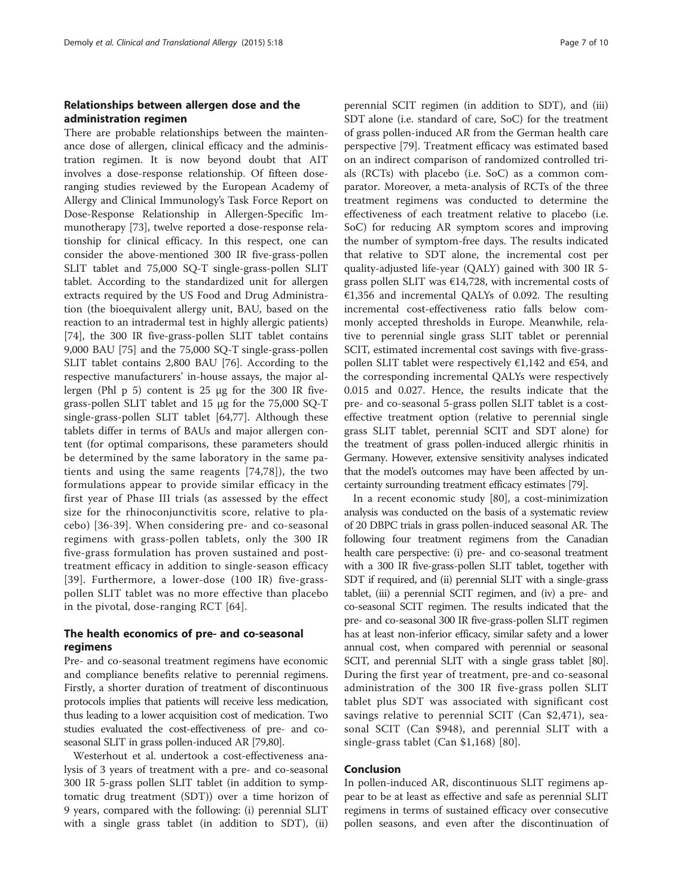# Relationships between allergen dose and the administration regimen

There are probable relationships between the maintenance dose of allergen, clinical efficacy and the administration regimen. It is now beyond doubt that AIT involves a dose-response relationship. Of fifteen doseranging studies reviewed by the European Academy of Allergy and Clinical Immunology's Task Force Report on Dose-Response Relationship in Allergen-Specific Immunotherapy [[73\]](#page-9-0), twelve reported a dose-response relationship for clinical efficacy. In this respect, one can consider the above-mentioned 300 IR five-grass-pollen SLIT tablet and 75,000 SQ-T single-grass-pollen SLIT tablet. According to the standardized unit for allergen extracts required by the US Food and Drug Administration (the bioequivalent allergy unit, BAU, based on the reaction to an intradermal test in highly allergic patients) [[74\]](#page-9-0), the 300 IR five-grass-pollen SLIT tablet contains 9,000 BAU [\[75\]](#page-9-0) and the 75,000 SQ-T single-grass-pollen SLIT tablet contains 2,800 BAU [\[76](#page-9-0)]. According to the respective manufacturers' in-house assays, the major allergen (Phl  $p$  5) content is 25 μg for the 300 IR fivegrass-pollen SLIT tablet and 15 μg for the 75,000 SQ-T single-grass-pollen SLIT tablet [\[64](#page-8-0)[,77\]](#page-9-0). Although these tablets differ in terms of BAUs and major allergen content (for optimal comparisons, these parameters should be determined by the same laboratory in the same patients and using the same reagents [[74,78](#page-9-0)]), the two formulations appear to provide similar efficacy in the first year of Phase III trials (as assessed by the effect size for the rhinoconjunctivitis score, relative to placebo) [[36-39\]](#page-8-0). When considering pre- and co-seasonal regimens with grass-pollen tablets, only the 300 IR five-grass formulation has proven sustained and posttreatment efficacy in addition to single-season efficacy [[39](#page-8-0)]. Furthermore, a lower-dose (100 IR) five-grasspollen SLIT tablet was no more effective than placebo in the pivotal, dose-ranging RCT [[64](#page-8-0)].

# The health economics of pre- and co-seasonal regimens

Pre- and co-seasonal treatment regimens have economic and compliance benefits relative to perennial regimens. Firstly, a shorter duration of treatment of discontinuous protocols implies that patients will receive less medication, thus leading to a lower acquisition cost of medication. Two studies evaluated the cost-effectiveness of pre- and coseasonal SLIT in grass pollen-induced AR [\[79,80\]](#page-9-0).

Westerhout et al. undertook a cost-effectiveness analysis of 3 years of treatment with a pre- and co-seasonal 300 IR 5-grass pollen SLIT tablet (in addition to symptomatic drug treatment (SDT)) over a time horizon of 9 years, compared with the following: (i) perennial SLIT with a single grass tablet (in addition to SDT), (ii)

perennial SCIT regimen (in addition to SDT), and (iii) SDT alone (i.e. standard of care, SoC) for the treatment of grass pollen-induced AR from the German health care perspective [[79\]](#page-9-0). Treatment efficacy was estimated based on an indirect comparison of randomized controlled trials (RCTs) with placebo (i.e. SoC) as a common comparator. Moreover, a meta-analysis of RCTs of the three treatment regimens was conducted to determine the effectiveness of each treatment relative to placebo (i.e. SoC) for reducing AR symptom scores and improving the number of symptom-free days. The results indicated that relative to SDT alone, the incremental cost per quality-adjusted life-year (QALY) gained with 300 IR 5 grass pollen SLIT was  $€14,728$ , with incremental costs of €1,356 and incremental QALYs of 0.092. The resulting incremental cost-effectiveness ratio falls below commonly accepted thresholds in Europe. Meanwhile, relative to perennial single grass SLIT tablet or perennial SCIT, estimated incremental cost savings with five-grasspollen SLIT tablet were respectively  $\epsilon$ 1,142 and  $\epsilon$ 54, and the corresponding incremental QALYs were respectively 0.015 and 0.027. Hence, the results indicate that the pre- and co-seasonal 5-grass pollen SLIT tablet is a costeffective treatment option (relative to perennial single grass SLIT tablet, perennial SCIT and SDT alone) for the treatment of grass pollen-induced allergic rhinitis in Germany. However, extensive sensitivity analyses indicated that the model's outcomes may have been affected by uncertainty surrounding treatment efficacy estimates [\[79\]](#page-9-0).

In a recent economic study [[80](#page-9-0)], a cost-minimization analysis was conducted on the basis of a systematic review of 20 DBPC trials in grass pollen-induced seasonal AR. The following four treatment regimens from the Canadian health care perspective: (i) pre- and co-seasonal treatment with a 300 IR five-grass-pollen SLIT tablet, together with SDT if required, and (ii) perennial SLIT with a single-grass tablet, (iii) a perennial SCIT regimen, and (iv) a pre- and co-seasonal SCIT regimen. The results indicated that the pre- and co-seasonal 300 IR five-grass-pollen SLIT regimen has at least non-inferior efficacy, similar safety and a lower annual cost, when compared with perennial or seasonal SCIT, and perennial SLIT with a single grass tablet [\[80](#page-9-0)]. During the first year of treatment, pre-and co-seasonal administration of the 300 IR five-grass pollen SLIT tablet plus SDT was associated with significant cost savings relative to perennial SCIT (Can \$2,471), seasonal SCIT (Can \$948), and perennial SLIT with a single-grass tablet (Can \$1,168) [[80](#page-9-0)].

#### Conclusion

In pollen-induced AR, discontinuous SLIT regimens appear to be at least as effective and safe as perennial SLIT regimens in terms of sustained efficacy over consecutive pollen seasons, and even after the discontinuation of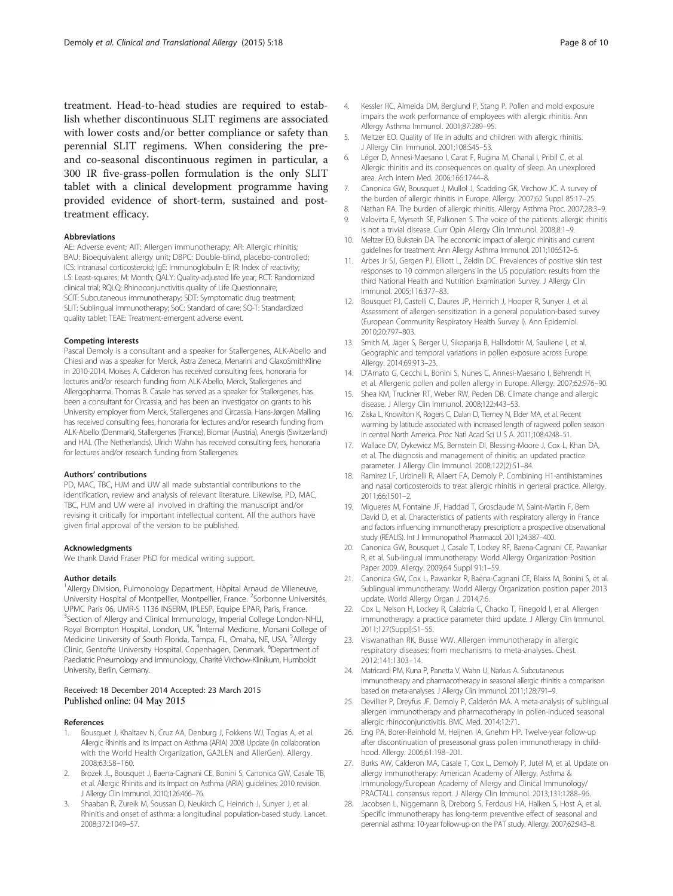<span id="page-7-0"></span>treatment. Head-to-head studies are required to establish whether discontinuous SLIT regimens are associated with lower costs and/or better compliance or safety than perennial SLIT regimens. When considering the preand co-seasonal discontinuous regimen in particular, a 300 IR five-grass-pollen formulation is the only SLIT tablet with a clinical development programme having provided evidence of short-term, sustained and posttreatment efficacy.

#### Abbreviations

AE: Adverse event; AIT: Allergen immunotherapy; AR: Allergic rhinitis; BAU: Bioequivalent allergy unit; DBPC: Double-blind, placebo-controlled; ICS: Intranasal corticosteroid; IgE: Immunoglobulin E; IR: Index of reactivity; LS: Least-squares; M: Month; QALY: Quality-adjusted life year; RCT: Randomized clinical trial; RQLQ: Rhinoconjunctivitis quality of Life Questionnaire; SCIT: Subcutaneous immunotherapy; SDT: Symptomatic drug treatment; SLIT: Sublingual immunotherapy; SoC: Standard of care; SQ-T: Standardized quality tablet; TEAE: Treatment-emergent adverse event.

#### Competing interests

Pascal Demoly is a consultant and a speaker for Stallergenes, ALK-Abello and Chiesi and was a speaker for Merck, Astra Zeneca, Menarini and GlaxoSmithKline in 2010-2014. Moises A. Calderon has received consulting fees, honoraria for lectures and/or research funding from ALK-Abello, Merck, Stallergenes and Allergopharma. Thomas B. Casale has served as a speaker for Stallergenes, has been a consultant for Circassia, and has been an investigator on grants to his University employer from Merck, Stallergenes and Circassia. Hans-Jørgen Malling has received consulting fees, honoraria for lectures and/or research funding from ALK-Abello (Denmark), Stallergenes (France), Biomar (Austria), Anergis (Switzerland) and HAL (The Netherlands). Ulrich Wahn has received consulting fees, honoraria for lectures and/or research funding from Stallergenes.

#### Authors' contributions

PD, MAC, TBC, HJM and UW all made substantial contributions to the identification, review and analysis of relevant literature. Likewise, PD, MAC, TBC, HJM and UW were all involved in drafting the manuscript and/or revising it critically for important intellectual content. All the authors have given final approval of the version to be published.

#### Acknowledgments

We thank David Fraser PhD for medical writing support.

#### Author details

<sup>1</sup> Allergy Division, Pulmonology Department, Hôpital Arnaud de Villeneuve, University Hospital of Montpellier, Montpellier, France. <sup>2</sup>Sorbonne Universités, UPMC Paris 06, UMR-S 1136 INSERM, IPLESP, Equipe EPAR, Paris, France. <sup>3</sup>Section of Allergy and Clinical Immunology, Imperial College London-NHLI, Royal Brompton Hospital, London, UK. <sup>4</sup>Internal Medicine, Morsani College of Medicine University of South Florida, Tampa, FL, Omaha, NE, USA. <sup>5</sup>Allergy Clinic, Gentofte University Hospital, Copenhagen, Denmark. <sup>6</sup>Department of Paediatric Pneumology and Immunology, Charité Virchow-Klinikum, Humboldt University, Berlin, Germany.

#### Received: 18 December 2014 Accepted: 23 March 2015 Published online: 04 May 2015

#### References

- Bousquet J, Khaltaev N, Cruz AA, Denburg J, Fokkens WJ, Togias A, et al. Allergic Rhinitis and its Impact on Asthma (ARIA) 2008 Update (in collaboration with the World Health Organization, GA2LEN and AllerGen). Allergy. 2008;63:S8–160.
- 2. Brozek JL, Bousquet J, Baena-Cagnani CE, Bonini S, Canonica GW, Casale TB, et al. Allergic Rhinitis and its Impact on Asthma (ARIA) guidelines: 2010 revision. J Allergy Clin Immunol. 2010;126:466–76.
- Shaaban R, Zureik M, Soussan D, Neukirch C, Heinrich J, Sunyer J, et al. Rhinitis and onset of asthma: a longitudinal population-based study. Lancet. 2008;372:1049–57.
- 4. Kessler RC, Almeida DM, Berglund P, Stang P. Pollen and mold exposure impairs the work performance of employees with allergic rhinitis. Ann Allergy Asthma Immunol. 2001;87:289–95.
- 5. Meltzer EO. Quality of life in adults and children with allergic rhinitis. J Allergy Clin Immunol. 2001;108:S45–53.
- 6. Léger D, Annesi-Maesano I, Carat F, Rugina M, Chanal I, Pribil C, et al. Allergic rhinitis and its consequences on quality of sleep. An unexplored area. Arch Intern Med. 2006;166:1744–8.
- 7. Canonica GW, Bousquet J, Mullol J, Scadding GK, Virchow JC. A survey of the burden of allergic rhinitis in Europe. Allergy. 2007;62 Suppl 85:17–25.
- 8. Nathan RA. The burden of allergic rhinitis. Allergy Asthma Proc. 2007;28:3–9.
- 9. Valovirta E, Myrseth SE, Palkonen S. The voice of the patients: allergic rhinitis is not a trivial disease. Curr Opin Allergy Clin Immunol. 2008;8:1–9.
- 10. Meltzer EO, Bukstein DA. The economic impact of allergic rhinitis and current guidelines for treatment. Ann Allergy Asthma Immunol. 2011;106:S12–6.
- 11. Arbes Jr SJ, Gergen PJ, Elliott L, Zeldin DC. Prevalences of positive skin test responses to 10 common allergens in the US population: results from the third National Health and Nutrition Examination Survey. J Allergy Clin Immunol. 2005;116:377–83.
- 12. Bousquet PJ, Castelli C, Daures JP, Heinrich J, Hooper R, Sunyer J, et al. Assessment of allergen sensitization in a general population-based survey (European Community Respiratory Health Survey I). Ann Epidemiol. 2010;20:797–803.
- 13. Smith M, Jäger S, Berger U, Sikoparija B, Hallsdottir M, Sauliene I, et al. Geographic and temporal variations in pollen exposure across Europe. Allergy. 2014;69:913–23.
- 14. D'Amato G, Cecchi L, Bonini S, Nunes C, Annesi-Maesano I, Behrendt H, et al. Allergenic pollen and pollen allergy in Europe. Allergy. 2007;62:976–90.
- 15. Shea KM, Truckner RT, Weber RW, Peden DB. Climate change and allergic disease. J Allergy Clin Immunol. 2008;122:443–53.
- 16. Ziska L, Knowlton K, Rogers C, Dalan D, Tierney N, Elder MA, et al. Recent warming by latitude associated with increased length of ragweed pollen season in central North America. Proc Natl Acad Sci U S A. 2011;108:4248–51.
- 17. Wallace DV, Dykewicz MS, Bernstein DI, Blessing-Moore J, Cox L, Khan DA, et al. The diagnosis and management of rhinitis: an updated practice parameter. J Allergy Clin Immunol. 2008;122(2):S1–84.
- 18. Ramirez LF, Urbinelli R, Allaert FA, Demoly P. Combining H1-antihistamines and nasal corticosteroids to treat allergic rhinitis in general practice. Allergy. 2011;66:1501–2.
- 19. Migueres M, Fontaine JF, Haddad T, Grosclaude M, Saint-Martin F, Bem David D, et al. Characteristics of patients with respiratory allergy in France and factors influencing immunotherapy prescription: a prospective observational study (REALIS). Int J Immunopathol Pharmacol. 2011;24:387–400.
- 20. Canonica GW, Bousquet J, Casale T, Lockey RF, Baena-Cagnani CE, Pawankar R, et al. Sub-lingual immunotherapy: World Allergy Organization Position Paper 2009. Allergy. 2009;64 Suppl 91:1–59.
- 21. Canonica GW, Cox L, Pawankar R, Baena-Cagnani CE, Blaiss M, Bonini S, et al. Sublingual immunotherapy: World Allergy Organization position paper 2013 update. World Allergy Organ J. 2014;7:6.
- 22. Cox L, Nelson H, Lockey R, Calabria C, Chacko T, Finegold I, et al. Allergen immunotherapy: a practice parameter third update. J Allergy Clin Immunol. 2011;127(Suppl):S1–55.
- 23. Viswanathan RK, Busse WW. Allergen immunotherapy in allergic respiratory diseases: from mechanisms to meta-analyses. Chest. 2012;141:1303–14.
- 24. Matricardi PM, Kuna P, Panetta V, Wahn U, Narkus A. Subcutaneous immunotherapy and pharmacotherapy in seasonal allergic rhinitis: a comparison based on meta-analyses. J Allergy Clin Immunol. 2011;128:791–9.
- 25. Devillier P, Dreyfus JF, Demoly P, Calderón MA. A meta-analysis of sublingual allergen immunotherapy and pharmacotherapy in pollen-induced seasonal allergic rhinoconjunctivitis. BMC Med. 2014;12:71.
- 26. Eng PA, Borer-Reinhold M, Heijnen IA, Gnehm HP. Twelve-year follow-up after discontinuation of preseasonal grass pollen immunotherapy in childhood. Allergy. 2006;61:198–201.
- 27. Burks AW, Calderon MA, Casale T, Cox L, Demoly P, Jutel M, et al. Update on allergy immunotherapy: American Academy of Allergy, Asthma & Immunology/European Academy of Allergy and Clinical Immunology/ PRACTALL consensus report. J Allergy Clin Immunol. 2013;131:1288–96.
- 28. Jacobsen L, Niggemann B, Dreborg S, Ferdousi HA, Halken S, Host A, et al. Specific immunotherapy has long-term preventive effect of seasonal and perennial asthma: 10-year follow-up on the PAT study. Allergy. 2007;62:943–8.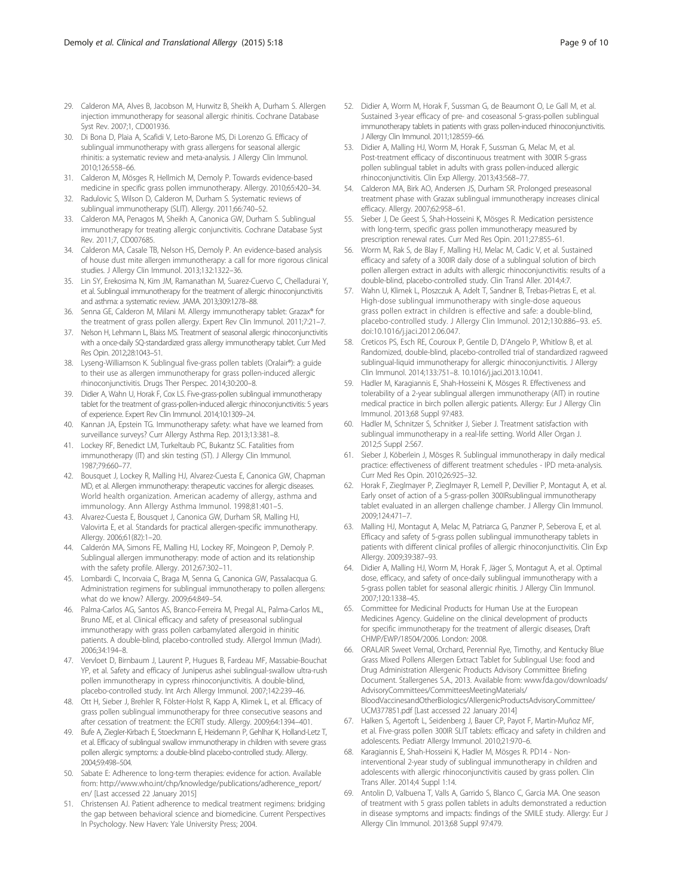- <span id="page-8-0"></span>29. Calderon MA, Alves B, Jacobson M, Hurwitz B, Sheikh A, Durham S. Allergen injection immunotherapy for seasonal allergic rhinitis. Cochrane Database Syst Rev. 2007;1, CD001936.
- 30. Di Bona D, Plaia A, Scafidi V, Leto-Barone MS, Di Lorenzo G. Efficacy of sublingual immunotherapy with grass allergens for seasonal allergic rhinitis: a systematic review and meta-analysis. J Allergy Clin Immunol. 2010;126:558–66.
- 31. Calderon M, Mösges R, Hellmich M, Demoly P. Towards evidence-based medicine in specific grass pollen immunotherapy. Allergy. 2010;65:420–34.
- 32. Radulovic S, Wilson D, Calderon M, Durham S. Systematic reviews of sublingual immunotherapy (SLIT). Allergy. 2011;66:740–52.
- 33. Calderon MA, Penagos M, Sheikh A, Canonica GW, Durham S. Sublingual immunotherapy for treating allergic conjunctivitis. Cochrane Database Syst Rev. 2011;7, CD007685.
- 34. Calderon MA, Casale TB, Nelson HS, Demoly P. An evidence-based analysis of house dust mite allergen immunotherapy: a call for more rigorous clinical studies. J Allergy Clin Immunol. 2013;132:1322–36.
- 35. Lin SY, Erekosima N, Kim JM, Ramanathan M, Suarez-Cuervo C, Chelladurai Y, et al. Sublingual immunotherapy for the treatment of allergic rhinoconjunctivitis and asthma: a systematic review. JAMA. 2013;309:1278–88.
- 36. Senna GE, Calderon M, Milani M. Allergy immunotherapy tablet: Grazax® for the treatment of grass pollen allergy. Expert Rev Clin Immunol. 2011;7:21–7.
- 37. Nelson H, Lehmann L, Blaiss MS. Treatment of seasonal allergic rhinoconjunctivitis with a once-daily SQ-standardized grass allergy immunotherapy tablet. Curr Med Res Opin. 2012;28:1043–51.
- 38. Lyseng-Williamson K. Sublingual five-grass pollen tablets (Oralair®): a guide to their use as allergen immunotherapy for grass pollen-induced allergic rhinoconjunctivitis. Drugs Ther Perspec. 2014;30:200–8.
- 39. Didier A, Wahn U, Horak F, Cox LS. Five-grass-pollen sublingual immunotherapy tablet for the treatment of grass-pollen-induced allergic rhinoconjunctivitis: 5 years of experience. Expert Rev Clin Immunol. 2014;10:1309–24.
- 40. Kannan JA, Epstein TG. Immunotherapy safety: what have we learned from surveillance surveys? Curr Allergy Asthma Rep. 2013;13:381–8.
- 41. Lockey RF, Benedict LM, Turkeltaub PC, Bukantz SC. Fatalities from immunotherapy (IT) and skin testing (ST). J Allergy Clin Immunol. 1987;79:660–77.
- 42. Bousquet J, Lockey R, Malling HJ, Alvarez-Cuesta E, Canonica GW, Chapman MD, et al. Allergen immunotherapy: therapeutic vaccines for allergic diseases. World health organization. American academy of allergy, asthma and immunology. Ann Allergy Asthma Immunol. 1998;81:401–5.
- 43. Alvarez-Cuesta E, Bousquet J, Canonica GW, Durham SR, Malling HJ, Valovirta E, et al. Standards for practical allergen-specific immunotherapy. Allergy. 2006;61(82):1–20.
- 44. Calderón MA, Simons FE, Malling HJ, Lockey RF, Moingeon P, Demoly P. Sublingual allergen immunotherapy: mode of action and its relationship with the safety profile. Allergy. 2012;67:302–11.
- 45. Lombardi C, Incorvaia C, Braga M, Senna G, Canonica GW, Passalacqua G. Administration regimens for sublingual immunotherapy to pollen allergens: what do we know? Allergy. 2009;64:849–54.
- 46. Palma-Carlos AG, Santos AS, Branco-Ferreira M, Pregal AL, Palma-Carlos ML, Bruno ME, et al. Clinical efficacy and safety of preseasonal sublingual immunotherapy with grass pollen carbamylated allergoid in rhinitic patients. A double-blind, placebo-controlled study. Allergol Immun (Madr). 2006;34:194–8.
- 47. Vervloet D, Birnbaum J, Laurent P, Hugues B, Fardeau MF, Massabie-Bouchat YP, et al. Safety and efficacy of Juniperus ashei sublingual-swallow ultra-rush pollen immunotherapy in cypress rhinoconjunctivitis. A double-blind, placebo-controlled study. Int Arch Allergy Immunol. 2007;142:239–46.
- 48. Ott H, Sieber J, Brehler R, Fölster-Holst R, Kapp A, Klimek L, et al. Efficacy of grass pollen sublingual immunotherapy for three consecutive seasons and after cessation of treatment: the ECRIT study. Allergy. 2009;64:1394–401.
- 49. Bufe A, Ziegler-Kirbach E, Stoeckmann E, Heidemann P, Gehlhar K, Holland-Letz T, et al. Efficacy of sublingual swallow immunotherapy in children with severe grass pollen allergic symptoms: a double-blind placebo-controlled study. Allergy. 2004;59:498–504.
- 50. Sabate E: Adherence to long-term therapies: evidence for action. Available from: [http://www.who.int/chp/knowledge/publications/adherence\\_report/](http://www.who.int/chp/knowledge/publications/adherence_report/en/ ) [en/](http://www.who.int/chp/knowledge/publications/adherence_report/en/ ) [Last accessed 22 January 2015]
- 51. Christensen AJ. Patient adherence to medical treatment regimens: bridging the gap between behavioral science and biomedicine. Current Perspectives In Psychology. New Haven: Yale University Press; 2004.
- 52. Didier A, Worm M, Horak F, Sussman G, de Beaumont O, Le Gall M, et al. Sustained 3-year efficacy of pre- and coseasonal 5-grass-pollen sublingual immunotherapy tablets in patients with grass pollen-induced rhinoconjunctivitis. J Allergy Clin Immunol. 2011;128:559–66.
- 53. Didier A, Malling HJ, Worm M, Horak F, Sussman G, Melac M, et al. Post-treatment efficacy of discontinuous treatment with 300IR 5-grass pollen sublingual tablet in adults with grass pollen-induced allergic rhinoconjunctivitis. Clin Exp Allergy. 2013;43:568–77.
- 54. Calderon MA, Birk AO, Andersen JS, Durham SR. Prolonged preseasonal treatment phase with Grazax sublingual immunotherapy increases clinical efficacy. Allergy. 2007;62:958–61.
- 55. Sieber J, De Geest S, Shah-Hosseini K, Mösges R. Medication persistence with long-term, specific grass pollen immunotherapy measured by prescription renewal rates. Curr Med Res Opin. 2011;27:855–61.
- 56. Worm M, Rak S, de Blay F, Malling HJ, Melac M, Cadic V, et al. Sustained efficacy and safety of a 300IR daily dose of a sublingual solution of birch pollen allergen extract in adults with allergic rhinoconjunctivitis: results of a double-blind, placebo-controlled study. Clin Transl Aller. 2014;4:7.
- 57. Wahn U, Klimek L, Ploszczuk A, Adelt T, Sandner B, Trebas-Pietras E, et al. High-dose sublingual immunotherapy with single-dose aqueous grass pollen extract in children is effective and safe: a double-blind, placebo-controlled study. J Allergy Clin Immunol. 2012;130:886–93. e5. doi:10.1016/j.jaci.2012.06.047.
- 58. Creticos PS, Esch RE, Couroux P, Gentile D, D'Angelo P, Whitlow B, et al. Randomized, double-blind, placebo-controlled trial of standardized ragweed sublingual-liquid immunotherapy for allergic rhinoconjunctivitis. J Allergy Clin Immunol. 2014;133:751–8. 10.1016/j.jaci.2013.10.041.
- 59. Hadler M, Karagiannis E, Shah-Hosseini K, Mösges R. Effectiveness and tolerability of a 2-year sublingual allergen immunotherapy (AIT) in routine medical practice in birch pollen allergic patients. Allergy: Eur J Allergy Clin Immunol. 2013;68 Suppl 97:483.
- 60. Hadler M, Schnitzer S, Schnitker J, Sieber J. Treatment satisfaction with sublingual immunotherapy in a real-life setting. World Aller Organ J. 2012;5 Suppl 2:S67.
- 61. Sieber J, Köberlein J, Mösges R. Sublingual immunotherapy in daily medical practice: effectiveness of different treatment schedules - IPD meta-analysis. Curr Med Res Opin. 2010;26:925–32.
- 62. Horak F, Zieglmayer P, Zieglmayer R, Lemell P, Devillier P, Montagut A, et al. Early onset of action of a 5-grass-pollen 300IRsublingual immunotherapy tablet evaluated in an allergen challenge chamber. J Allergy Clin Immunol. 2009;124:471–7.
- 63. Malling HJ, Montagut A, Melac M, Patriarca G, Panzner P, Seberova E, et al. Efficacy and safety of 5-grass pollen sublingual immunotherapy tablets in patients with different clinical profiles of allergic rhinoconjunctivitis. Clin Exp Allergy. 2009;39:387–93.
- 64. Didier A, Malling HJ, Worm M, Horak F, Jäger S, Montagut A, et al. Optimal dose, efficacy, and safety of once-daily sublingual immunotherapy with a 5-grass pollen tablet for seasonal allergic rhinitis. J Allergy Clin Immunol. 2007;120:1338–45.
- Committee for Medicinal Products for Human Use at the European Medicines Agency. Guideline on the clinical development of products for specific immunotherapy for the treatment of allergic diseases, Draft CHMP/EWP/18504/2006. London: 2008.
- 66. ORALAIR Sweet Vernal, Orchard, Perennial Rye, Timothy, and Kentucky Blue Grass Mixed Pollens Allergen Extract Tablet for Sublingual Use: food and Drug Administration Allergenic Products Advisory Committee Briefing Document. Stallergenes S.A., 2013. Available from: [www.fda.gov/downloads/](http://www.fda.gov/downloads/AdvisoryCommittees/CommitteesMeetingMaterials/BloodVaccinesandOtherBiologics/AllergenicProductsAdvisoryCommittee/UCM377851.pdf) [AdvisoryCommittees/CommitteesMeetingMaterials/](http://www.fda.gov/downloads/AdvisoryCommittees/CommitteesMeetingMaterials/BloodVaccinesandOtherBiologics/AllergenicProductsAdvisoryCommittee/UCM377851.pdf) [BloodVaccinesandOtherBiologics/AllergenicProductsAdvisoryCommittee/](http://www.fda.gov/downloads/AdvisoryCommittees/CommitteesMeetingMaterials/BloodVaccinesandOtherBiologics/AllergenicProductsAdvisoryCommittee/UCM377851.pdf) [UCM377851.pdf](http://www.fda.gov/downloads/AdvisoryCommittees/CommitteesMeetingMaterials/BloodVaccinesandOtherBiologics/AllergenicProductsAdvisoryCommittee/UCM377851.pdf) [Last accessed 22 January 2014]
- 67. Halken S, Agertoft L, Seidenberg J, Bauer CP, Payot F, Martin-Muñoz MF, et al. Five-grass pollen 300IR SLIT tablets: efficacy and safety in children and adolescents. Pediatr Allergy Immunol. 2010;21:970–6.
- Karagiannis E, Shah-Hosseini K, Hadler M, Mösges R. PD14 Noninterventional 2-year study of sublingual immunotherapy in children and adolescents with allergic rhinoconjunctivitis caused by grass pollen. Clin Trans Aller. 2014;4 Suppl 1:14.
- 69. Antolin D, Valbuena T, Valls A, Garrido S, Blanco C, Garcia MA. One season of treatment with 5 grass pollen tablets in adults demonstrated a reduction in disease symptoms and impacts: findings of the SMILE study. Allergy: Eur J Allergy Clin Immunol. 2013;68 Suppl 97:479.